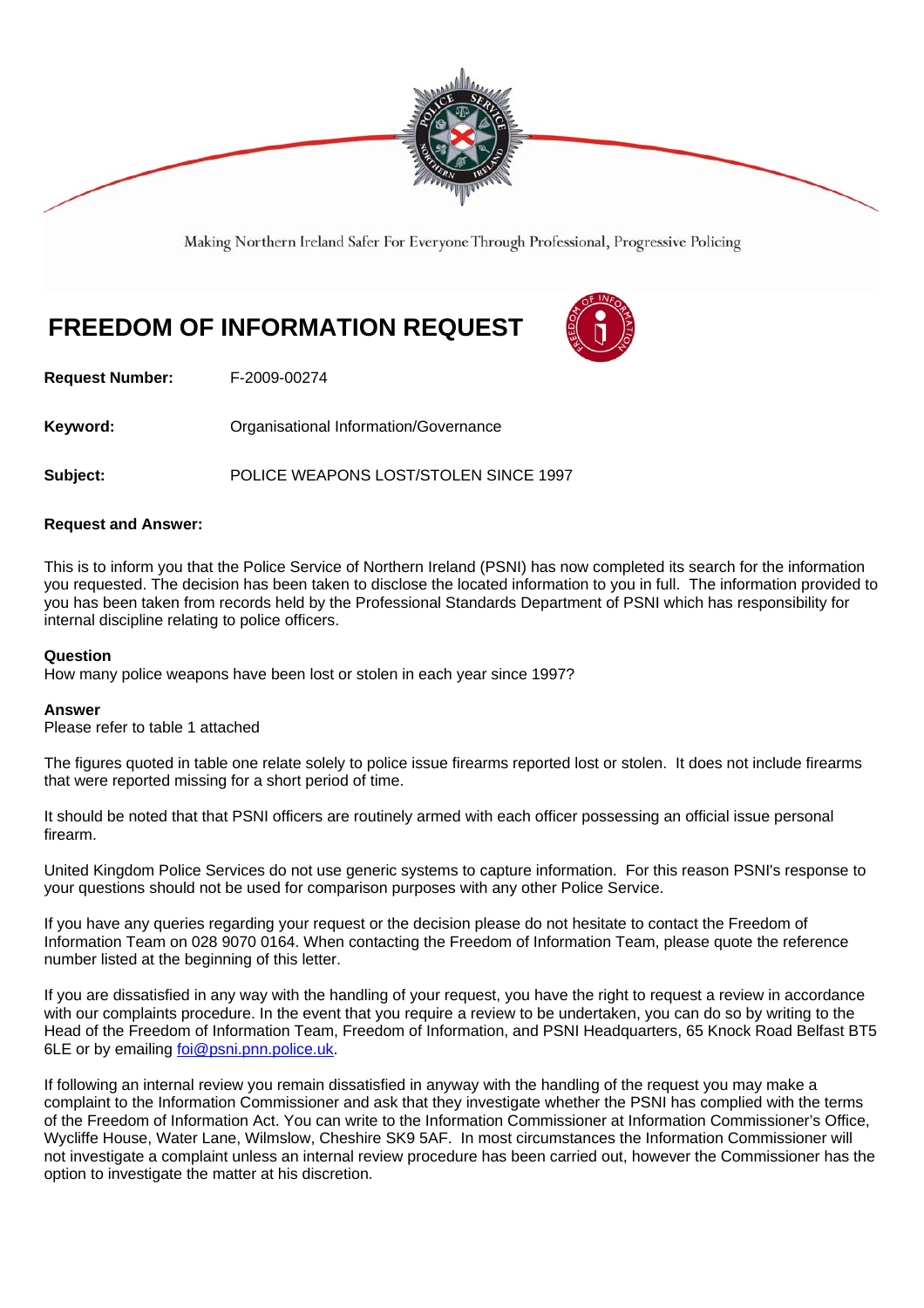

Making Northern Ireland Safer For Everyone Through Professional, Progressive Policing

# **FREEDOM OF INFORMATION REQUEST**



**Request Number:** F-2009-00274

**Keyword: C**rganisational Information/Governance

**Subject:** POLICE WEAPONS LOST/STOLEN SINCE 1997

### **Request and Answer:**

This is to inform you that the Police Service of Northern Ireland (PSNI) has now completed its search for the information you requested. The decision has been taken to disclose the located information to you in full. The information provided to you has been taken from records held by the Professional Standards Department of PSNI which has responsibility for internal discipline relating to police officers.

#### **Question**

How many police weapons have been lost or stolen in each year since 1997?

#### **Answer**

Please refer to table 1 attached

The figures quoted in table one relate solely to police issue firearms reported lost or stolen. It does not include firearms that were reported missing for a short period of time.

It should be noted that that PSNI officers are routinely armed with each officer possessing an official issue personal firearm.

United Kingdom Police Services do not use generic systems to capture information. For this reason PSNI's response to your questions should not be used for comparison purposes with any other Police Service.

If you have any queries regarding your request or the decision please do not hesitate to contact the Freedom of Information Team on 028 9070 0164. When contacting the Freedom of Information Team, please quote the reference number listed at the beginning of this letter.

If you are dissatisfied in any way with the handling of your request, you have the right to request a review in accordance with our complaints procedure. In the event that you require a review to be undertaken, you can do so by writing to the Head of the Freedom of Information Team, Freedom of Information, and PSNI Headquarters, 65 Knock Road Belfast BT5 6LE or by emailing foi@psni.pnn.police.uk.

If following an internal review you remain dissatisfied in anyway with the handling of the request you may make a complaint to the Information Commissioner and ask that they investigate whether the PSNI has complied with the terms of the Freedom of Information Act. You can write to the Information Commissioner at Information Commissioner's Office, Wycliffe House, Water Lane, Wilmslow, Cheshire SK9 5AF. In most circumstances the Information Commissioner will not investigate a complaint unless an internal review procedure has been carried out, however the Commissioner has the option to investigate the matter at his discretion.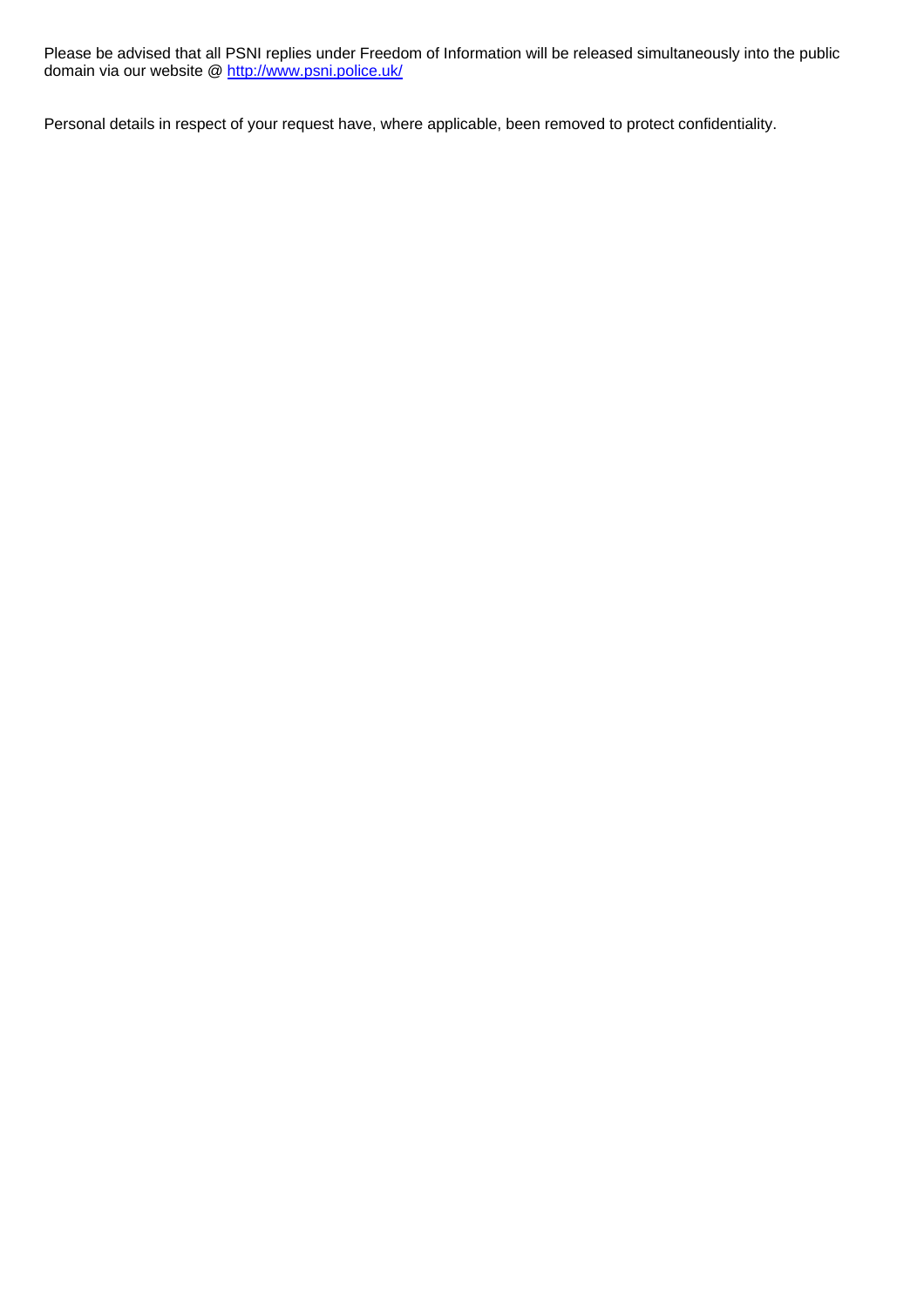Please be advised that all PSNI replies under Freedom of Information will be released simultaneously into the public domain via our website @ http://www.psni.police.uk/

Personal details in respect of your request have, where applicable, been removed to protect confidentiality.